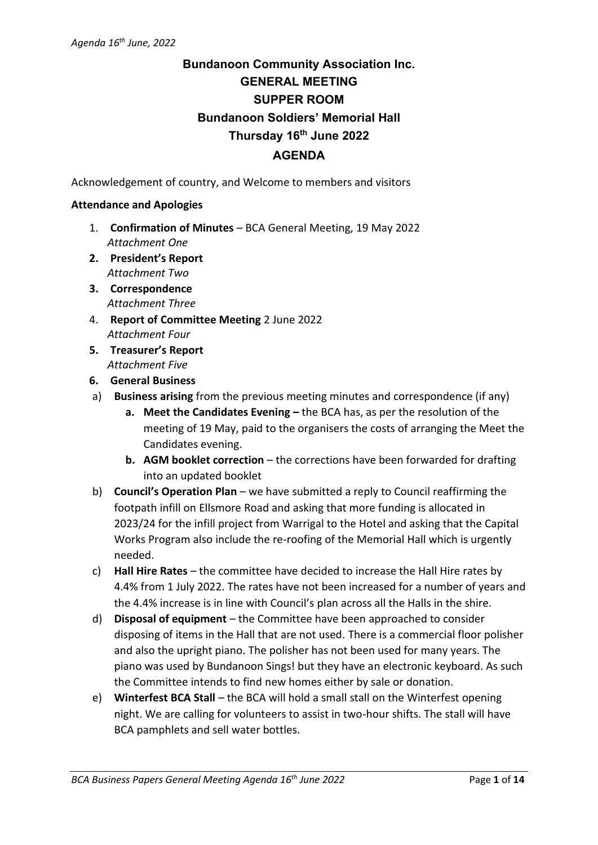# **Bundanoon Community Association Inc. GENERAL MEETING SUPPER ROOM Bundanoon Soldiers' Memorial Hall Thursday 16 th June 2022 AGENDA**

Acknowledgement of country, and Welcome to members and visitors

### **Attendance and Apologies**

- 1. **Confirmation of Minutes** BCA General Meeting, 19 May 2022 *Attachment One*
- **2. President's Report** *Attachment Two*
- **3. Correspondence** *Attachment Three*
- 4. **Report of Committee Meeting** 2 June 2022 *Attachment Four*
- **5. Treasurer's Report** *Attachment Five*
- **6. General Business**
- a) **Business arising** from the previous meeting minutes and correspondence (if any)
	- **a. Meet the Candidates Evening –** the BCA has, as per the resolution of the meeting of 19 May, paid to the organisers the costs of arranging the Meet the Candidates evening.
	- **b. AGM booklet correction** the corrections have been forwarded for drafting into an updated booklet
- b) **Council's Operation Plan**  we have submitted a reply to Council reaffirming the footpath infill on Ellsmore Road and asking that more funding is allocated in 2023/24 for the infill project from Warrigal to the Hotel and asking that the Capital Works Program also include the re-roofing of the Memorial Hall which is urgently needed.
- c) **Hall Hire Rates** the committee have decided to increase the Hall Hire rates by 4.4% from 1 July 2022. The rates have not been increased for a number of years and the 4.4% increase is in line with Council's plan across all the Halls in the shire.
- d) **Disposal of equipment** the Committee have been approached to consider disposing of items in the Hall that are not used. There is a commercial floor polisher and also the upright piano. The polisher has not been used for many years. The piano was used by Bundanoon Sings! but they have an electronic keyboard. As such the Committee intends to find new homes either by sale or donation.
- e) **Winterfest BCA Stall** the BCA will hold a small stall on the Winterfest opening night. We are calling for volunteers to assist in two-hour shifts. The stall will have BCA pamphlets and sell water bottles.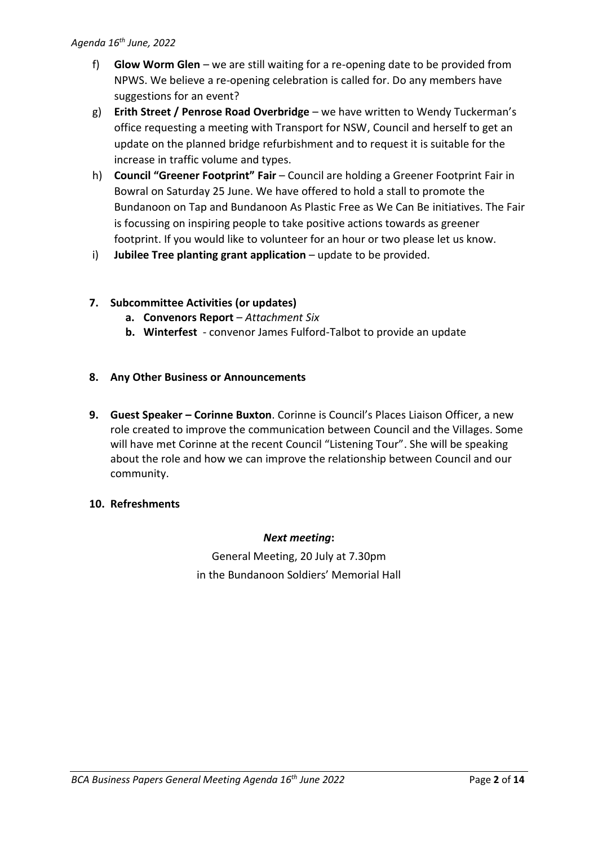- f) **Glow Worm Glen**  we are still waiting for a re-opening date to be provided from NPWS. We believe a re-opening celebration is called for. Do any members have suggestions for an event?
- g) **Erith Street / Penrose Road Overbridge** we have written to Wendy Tuckerman's office requesting a meeting with Transport for NSW, Council and herself to get an update on the planned bridge refurbishment and to request it is suitable for the increase in traffic volume and types.
- h) **Council "Greener Footprint" Fair** Council are holding a Greener Footprint Fair in Bowral on Saturday 25 June. We have offered to hold a stall to promote the Bundanoon on Tap and Bundanoon As Plastic Free as We Can Be initiatives. The Fair is focussing on inspiring people to take positive actions towards as greener footprint. If you would like to volunteer for an hour or two please let us know.
- i) **Jubilee Tree planting grant application** update to be provided.

## **7. Subcommittee Activities (or updates)**

- **a. Convenors Report** *Attachment Six*
- **b. Winterfest**  convenor James Fulford-Talbot to provide an update

## **8. Any Other Business or Announcements**

**9. Guest Speaker – Corinne Buxton**. Corinne is Council's Places Liaison Officer, a new role created to improve the communication between Council and the Villages. Some will have met Corinne at the recent Council "Listening Tour". She will be speaking about the role and how we can improve the relationship between Council and our community.

## **10. Refreshments**

## *Next meeting***:**

General Meeting, 20 July at 7.30pm in the Bundanoon Soldiers' Memorial Hall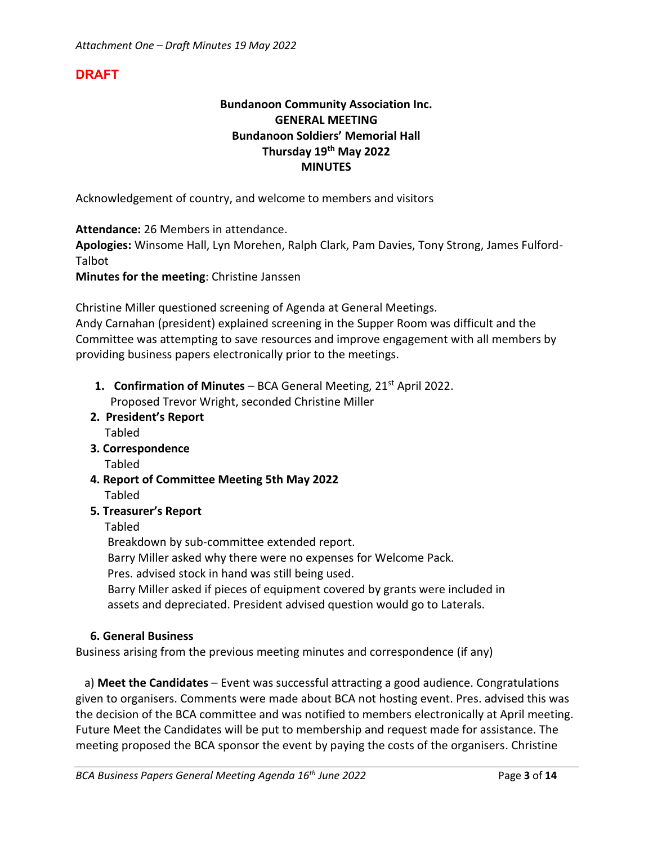## **DRAFT**

## **Bundanoon Community Association Inc. GENERAL MEETING Bundanoon Soldiers' Memorial Hall Thursday 19th May 2022 MINUTES**

Acknowledgement of country, and welcome to members and visitors

**Attendance:** 26 Members in attendance.

**Apologies:** Winsome Hall, Lyn Morehen, Ralph Clark, Pam Davies, Tony Strong, James Fulford-Talbot

**Minutes for the meeting**: Christine Janssen

Christine Miller questioned screening of Agenda at General Meetings.

Andy Carnahan (president) explained screening in the Supper Room was difficult and the Committee was attempting to save resources and improve engagement with all members by providing business papers electronically prior to the meetings.

- **1. Confirmation of Minutes** BCA General Meeting, 21<sup>st</sup> April 2022.
	- Proposed Trevor Wright, seconded Christine Miller
- **2. President's Report**
	- Tabled
- **3. Correspondence**

Tabled

- **4. Report of Committee Meeting 5th May 2022** Tabled
- **5. Treasurer's Report**

Tabled

Breakdown by sub-committee extended report.

Barry Miller asked why there were no expenses for Welcome Pack.

Pres. advised stock in hand was still being used.

 Barry Miller asked if pieces of equipment covered by grants were included in assets and depreciated. President advised question would go to Laterals.

## **6. General Business**

Business arising from the previous meeting minutes and correspondence (if any)

 a) **Meet the Candidates** – Event was successful attracting a good audience. Congratulations given to organisers. Comments were made about BCA not hosting event. Pres. advised this was the decision of the BCA committee and was notified to members electronically at April meeting. Future Meet the Candidates will be put to membership and request made for assistance. The meeting proposed the BCA sponsor the event by paying the costs of the organisers. Christine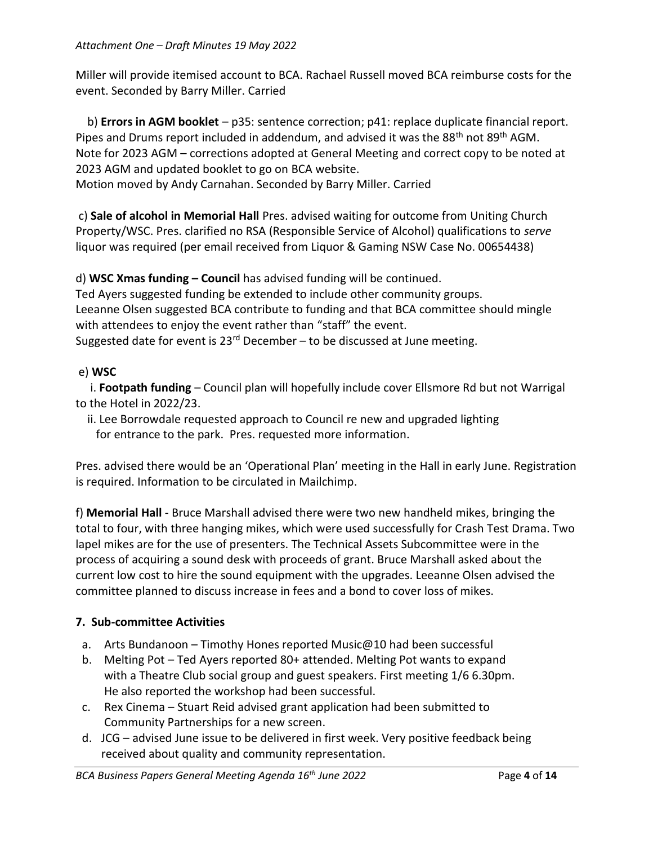Miller will provide itemised account to BCA. Rachael Russell moved BCA reimburse costs for the event. Seconded by Barry Miller. Carried

 b) **Errors in AGM booklet** – p35: sentence correction; p41: replace duplicate financial report. Pipes and Drums report included in addendum, and advised it was the 88<sup>th</sup> not 89<sup>th</sup> AGM. Note for 2023 AGM – corrections adopted at General Meeting and correct copy to be noted at 2023 AGM and updated booklet to go on BCA website.

Motion moved by Andy Carnahan. Seconded by Barry Miller. Carried

c) **Sale of alcohol in Memorial Hall** Pres. advised waiting for outcome from Uniting Church Property/WSC. Pres. clarified no RSA (Responsible Service of Alcohol) qualifications to *serve* liquor was required (per email received from Liquor & Gaming NSW Case No. 00654438)

d) **WSC Xmas funding – Council** has advised funding will be continued.

Ted Ayers suggested funding be extended to include other community groups. Leeanne Olsen suggested BCA contribute to funding and that BCA committee should mingle with attendees to enjoy the event rather than "staff" the event. Suggested date for event is  $23^{rd}$  December – to be discussed at June meeting.

## e) **WSC**

 i. **Footpath funding** – Council plan will hopefully include cover Ellsmore Rd but not Warrigal to the Hotel in 2022/23.

 ii. Lee Borrowdale requested approach to Council re new and upgraded lighting for entrance to the park. Pres. requested more information.

Pres. advised there would be an 'Operational Plan' meeting in the Hall in early June. Registration is required. Information to be circulated in Mailchimp.

f) **Memorial Hall** - Bruce Marshall advised there were two new handheld mikes, bringing the total to four, with three hanging mikes, which were used successfully for Crash Test Drama. Two lapel mikes are for the use of presenters. The Technical Assets Subcommittee were in the process of acquiring a sound desk with proceeds of grant. Bruce Marshall asked about the current low cost to hire the sound equipment with the upgrades. Leeanne Olsen advised the committee planned to discuss increase in fees and a bond to cover loss of mikes.

## **7. Sub-committee Activities**

- a. Arts Bundanoon Timothy Hones reported Music@10 had been successful
- b. Melting Pot Ted Ayers reported 80+ attended. Melting Pot wants to expand with a Theatre Club social group and guest speakers. First meeting 1/6 6.30pm. He also reported the workshop had been successful.
- c. Rex Cinema Stuart Reid advised grant application had been submitted to Community Partnerships for a new screen.
- d. JCG advised June issue to be delivered in first week. Very positive feedback being received about quality and community representation.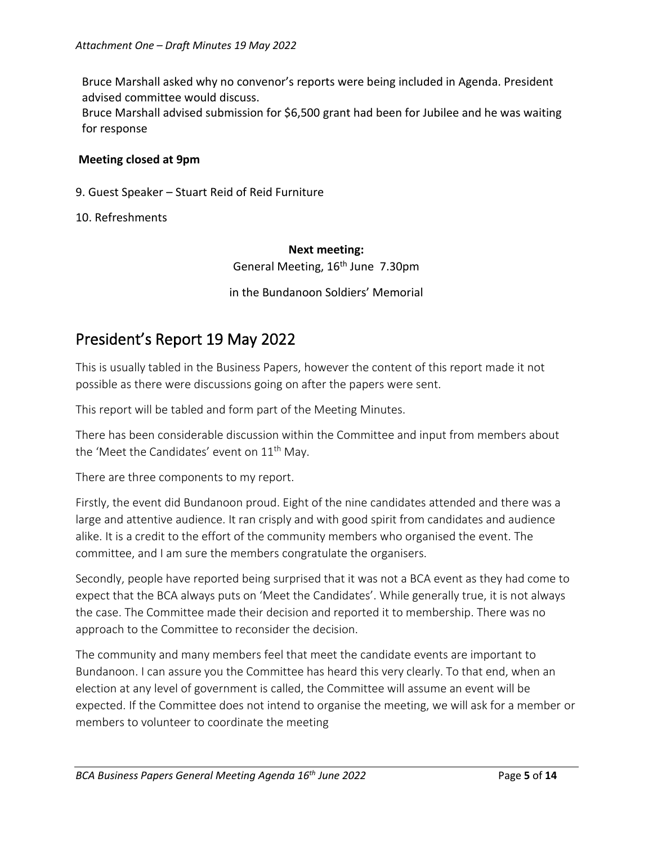Bruce Marshall asked why no convenor's reports were being included in Agenda. President advised committee would discuss.

Bruce Marshall advised submission for \$6,500 grant had been for Jubilee and he was waiting for response

### **Meeting closed at 9pm**

9. Guest Speaker – Stuart Reid of Reid Furniture

10. Refreshments

### **Next meeting:**

General Meeting, 16<sup>th</sup> June 7.30pm

in the Bundanoon Soldiers' Memorial

# President's Report 19 May 2022

This is usually tabled in the Business Papers, however the content of this report made it not possible as there were discussions going on after the papers were sent.

This report will be tabled and form part of the Meeting Minutes.

There has been considerable discussion within the Committee and input from members about the 'Meet the Candidates' event on 11<sup>th</sup> May.

There are three components to my report.

Firstly, the event did Bundanoon proud. Eight of the nine candidates attended and there was a large and attentive audience. It ran crisply and with good spirit from candidates and audience alike. It is a credit to the effort of the community members who organised the event. The committee, and I am sure the members congratulate the organisers.

Secondly, people have reported being surprised that it was not a BCA event as they had come to expect that the BCA always puts on 'Meet the Candidates'. While generally true, it is not always the case. The Committee made their decision and reported it to membership. There was no approach to the Committee to reconsider the decision.

The community and many members feel that meet the candidate events are important to Bundanoon. I can assure you the Committee has heard this very clearly. To that end, when an election at any level of government is called, the Committee will assume an event will be expected. If the Committee does not intend to organise the meeting, we will ask for a member or members to volunteer to coordinate the meeting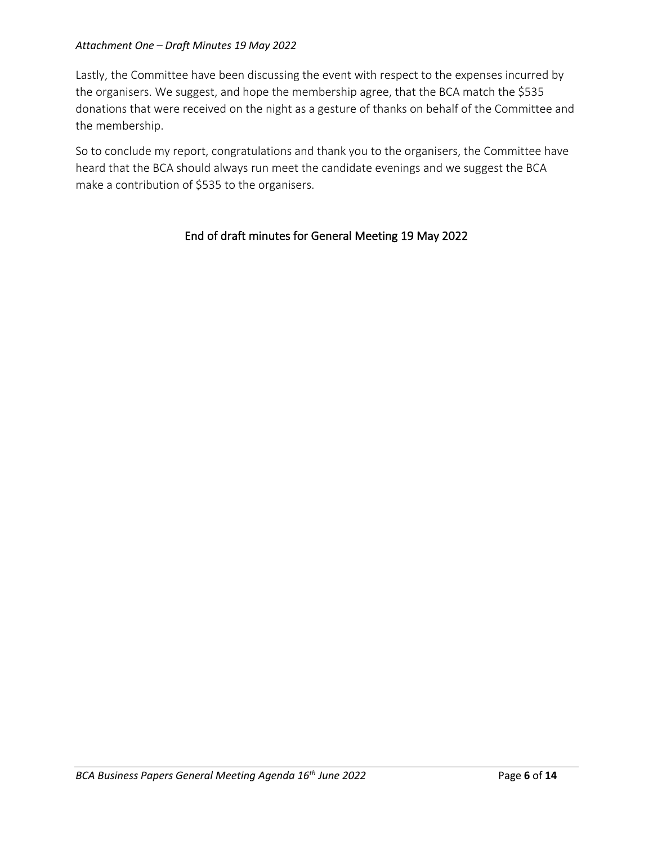### *Attachment One – Draft Minutes 19 May 2022*

Lastly, the Committee have been discussing the event with respect to the expenses incurred by the organisers. We suggest, and hope the membership agree, that the BCA match the \$535 donations that were received on the night as a gesture of thanks on behalf of the Committee and the membership.

So to conclude my report, congratulations and thank you to the organisers, the Committee have heard that the BCA should always run meet the candidate evenings and we suggest the BCA make a contribution of \$535 to the organisers.

## End of draft minutes for General Meeting 19 May 2022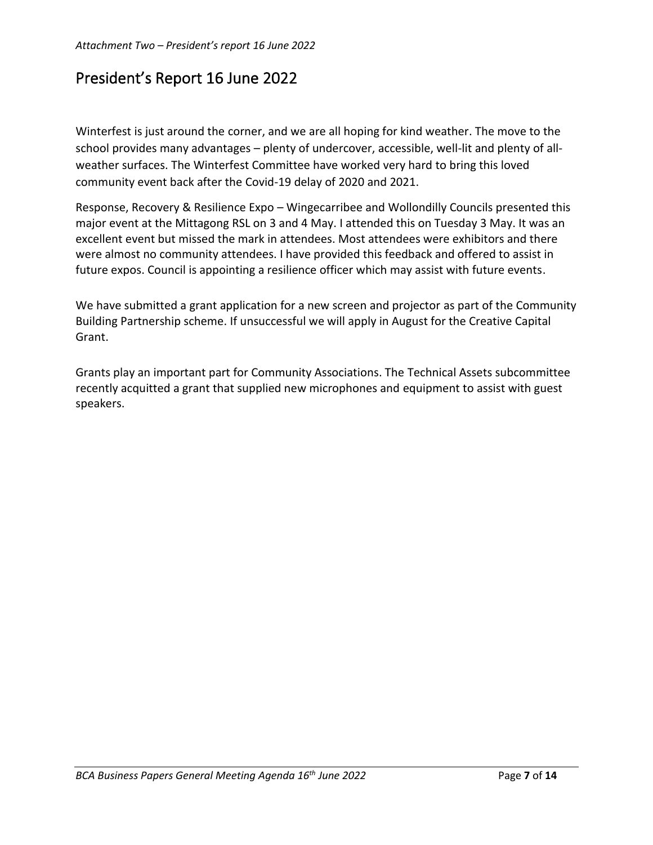# President's Report 16 June 2022

Winterfest is just around the corner, and we are all hoping for kind weather. The move to the school provides many advantages – plenty of undercover, accessible, well-lit and plenty of allweather surfaces. The Winterfest Committee have worked very hard to bring this loved community event back after the Covid-19 delay of 2020 and 2021.

Response, Recovery & Resilience Expo – Wingecarribee and Wollondilly Councils presented this major event at the Mittagong RSL on 3 and 4 May. I attended this on Tuesday 3 May. It was an excellent event but missed the mark in attendees. Most attendees were exhibitors and there were almost no community attendees. I have provided this feedback and offered to assist in future expos. Council is appointing a resilience officer which may assist with future events.

We have submitted a grant application for a new screen and projector as part of the Community Building Partnership scheme. If unsuccessful we will apply in August for the Creative Capital Grant.

Grants play an important part for Community Associations. The Technical Assets subcommittee recently acquitted a grant that supplied new microphones and equipment to assist with guest speakers.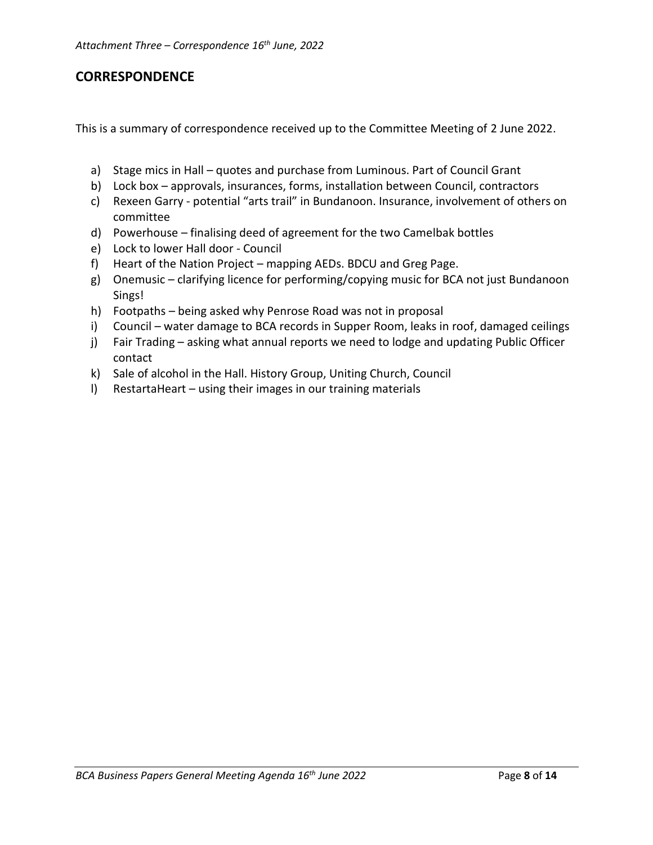## **CORRESPONDENCE**

This is a summary of correspondence received up to the Committee Meeting of 2 June 2022.

- a) Stage mics in Hall quotes and purchase from Luminous. Part of Council Grant
- b) Lock box approvals, insurances, forms, installation between Council, contractors
- c) Rexeen Garry potential "arts trail" in Bundanoon. Insurance, involvement of others on committee
- d) Powerhouse finalising deed of agreement for the two Camelbak bottles
- e) Lock to lower Hall door Council
- f) Heart of the Nation Project mapping AEDs. BDCU and Greg Page.
- g) Onemusic clarifying licence for performing/copying music for BCA not just Bundanoon Sings!
- h) Footpaths being asked why Penrose Road was not in proposal
- i) Council water damage to BCA records in Supper Room, leaks in roof, damaged ceilings
- j) Fair Trading asking what annual reports we need to lodge and updating Public Officer contact
- k) Sale of alcohol in the Hall. History Group, Uniting Church, Council
- l) RestartaHeart using their images in our training materials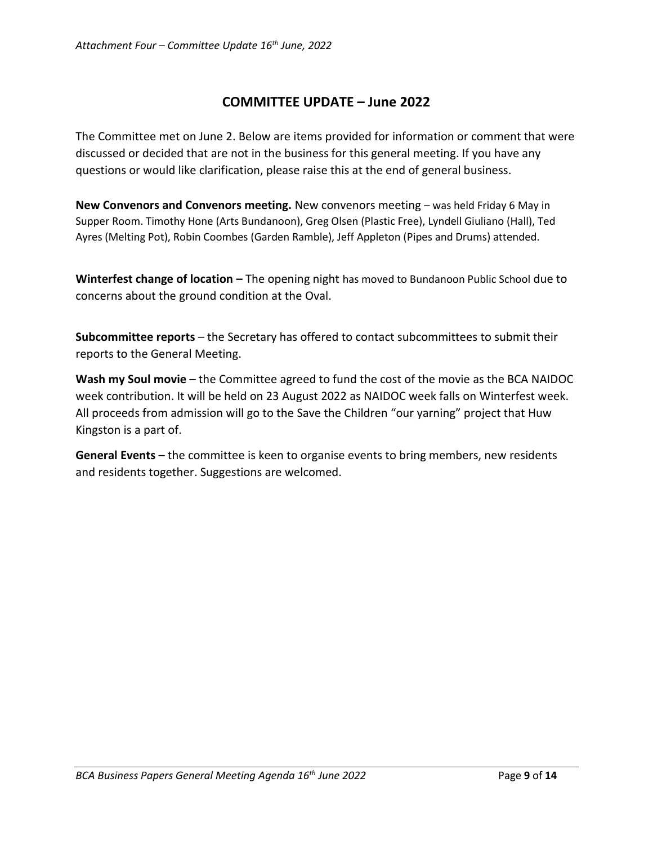## **COMMITTEE UPDATE – June 2022**

The Committee met on June 2. Below are items provided for information or comment that were discussed or decided that are not in the business for this general meeting. If you have any questions or would like clarification, please raise this at the end of general business.

**New Convenors and Convenors meeting.** New convenors meeting – was held Friday 6 May in Supper Room. Timothy Hone (Arts Bundanoon), Greg Olsen (Plastic Free), Lyndell Giuliano (Hall), Ted Ayres (Melting Pot), Robin Coombes (Garden Ramble), Jeff Appleton (Pipes and Drums) attended.

**Winterfest change of location –** The opening night has moved to Bundanoon Public School due to concerns about the ground condition at the Oval.

**Subcommittee reports** – the Secretary has offered to contact subcommittees to submit their reports to the General Meeting.

**Wash my Soul movie** – the Committee agreed to fund the cost of the movie as the BCA NAIDOC week contribution. It will be held on 23 August 2022 as NAIDOC week falls on Winterfest week. All proceeds from admission will go to the Save the Children "our yarning" project that Huw Kingston is a part of.

**General Events** – the committee is keen to organise events to bring members, new residents and residents together. Suggestions are welcomed.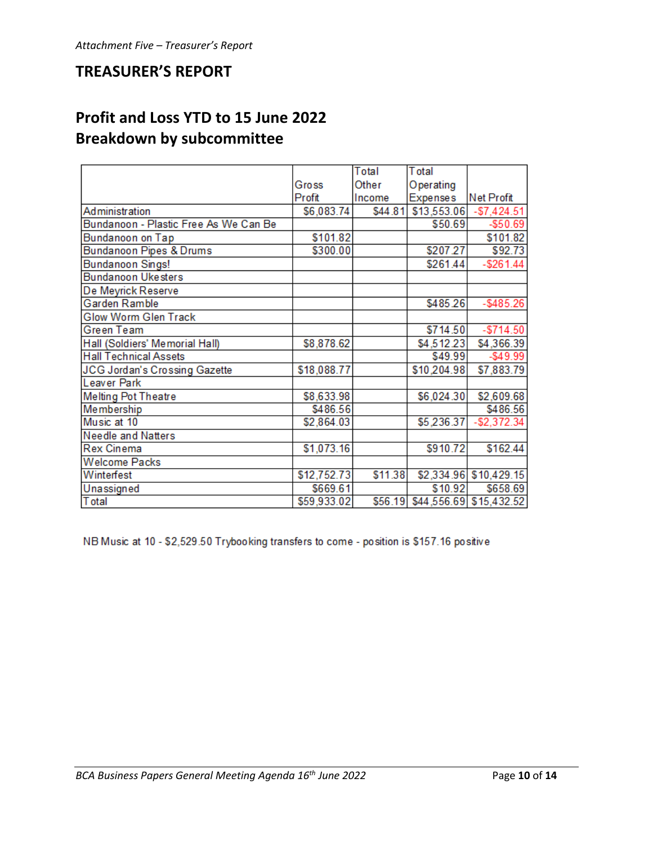## **TREASURER'S REPORT**

# **Profit and Loss YTD to 15 June 2022 Breakdown by subcommittee**

|                                       |             | Total   | <b>T</b> otal   |                                 |
|---------------------------------------|-------------|---------|-----------------|---------------------------------|
|                                       | Gross       | Other   | Operating       |                                 |
|                                       | Profit      | Income  | <b>Expenses</b> | Net Profit                      |
| Administration                        | \$6,083.74  | \$44.81 |                 | $$13,553.06$ -\$7,424.51        |
| Bundanoon - Plastic Free As We Can Be |             |         | \$50.69         | $- $50.69$                      |
| Bundanoon on Tap                      | \$101.82    |         |                 | \$101.82                        |
| Bundanoon Pipes & Drums               | \$300.00    |         | \$207.27        | \$92.73                         |
| Bundanoon Sings!                      |             |         | \$261.44        | $-$261.44$                      |
| <b>Bundanoon Ukesters</b>             |             |         |                 |                                 |
| De Meyrick Reserve                    |             |         |                 |                                 |
| Garden Ramble                         |             |         | \$485.26        | $-$ \$485.26                    |
| Glow Worm Glen Track                  |             |         |                 |                                 |
| <b>Green Team</b>                     |             |         | \$714.50        | $- $714.50$                     |
| Hall (Soldiers' Memorial Hall)        | \$8,878.62  |         | \$4,512.23      | \$4,366.39                      |
| <b>Hall Technical Assets</b>          |             |         | \$49.99         | $-$49.99$                       |
| JCG Jordan's Crossing Gazette         | \$18,088.77 |         | \$10,204.98     | \$7,883.79                      |
| Leaver Park                           |             |         |                 |                                 |
| <b>Melting Pot Theatre</b>            | \$8,633.98  |         | \$6,024.30      | \$2,609.68                      |
| Membership                            | \$486.56    |         |                 | \$486.56                        |
| Music at 10                           | \$2,864.03  |         | \$5,236.37      | $-$2,372.34$                    |
| <b>Needle and Natters</b>             |             |         |                 |                                 |
| <b>Rex Cinema</b>                     | \$1,073.16  |         | \$910.72        | \$162.44                        |
| <b>Welcome Packs</b>                  |             |         |                 |                                 |
| Winterfest                            | \$12,752.73 | \$11.38 |                 | \$2,334.96 \$10,429.15          |
| Unassigned                            | \$669.61    |         | \$10.92         | \$658.69                        |
| Total                                 | \$59,933.02 |         |                 | \$56.19 \$44,556.69 \$15,432.52 |

NB Music at 10 - \$2,529.50 Trybooking transfers to come - position is \$157.16 positive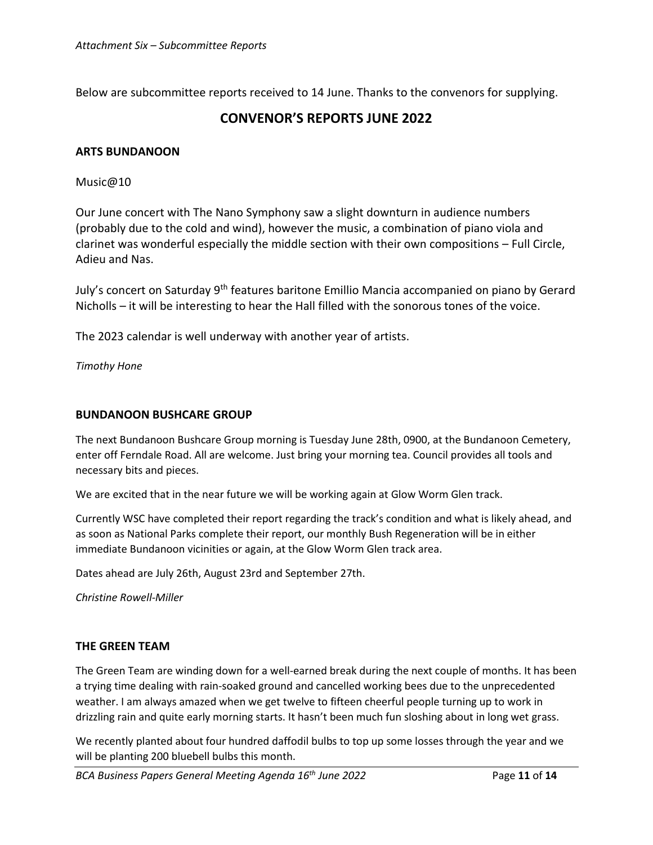Below are subcommittee reports received to 14 June. Thanks to the convenors for supplying.

## **CONVENOR'S REPORTS JUNE 2022**

### **ARTS BUNDANOON**

Music@10

Our June concert with The Nano Symphony saw a slight downturn in audience numbers (probably due to the cold and wind), however the music, a combination of piano viola and clarinet was wonderful especially the middle section with their own compositions – Full Circle, Adieu and Nas.

July's concert on Saturday 9<sup>th</sup> features baritone Emillio Mancia accompanied on piano by Gerard Nicholls – it will be interesting to hear the Hall filled with the sonorous tones of the voice.

The 2023 calendar is well underway with another year of artists.

*Timothy Hone*

### **BUNDANOON BUSHCARE GROUP**

The next Bundanoon Bushcare Group morning is Tuesday June 28th, 0900, at the Bundanoon Cemetery, enter off Ferndale Road. All are welcome. Just bring your morning tea. Council provides all tools and necessary bits and pieces.

We are excited that in the near future we will be working again at Glow Worm Glen track.

Currently WSC have completed their report regarding the track's condition and what is likely ahead, and as soon as National Parks complete their report, our monthly Bush Regeneration will be in either immediate Bundanoon vicinities or again, at the Glow Worm Glen track area.

Dates ahead are July 26th, August 23rd and September 27th.

*Christine Rowell-Miller*

### **THE GREEN TEAM**

The Green Team are winding down for a well-earned break during the next couple of months. It has been a trying time dealing with rain-soaked ground and cancelled working bees due to the unprecedented weather. I am always amazed when we get twelve to fifteen cheerful people turning up to work in drizzling rain and quite early morning starts. It hasn't been much fun sloshing about in long wet grass.

We recently planted about four hundred daffodil bulbs to top up some losses through the year and we will be planting 200 bluebell bulbs this month.

*BCA Business Papers General Meeting Agenda 16th June 2022* Page **11** of **14**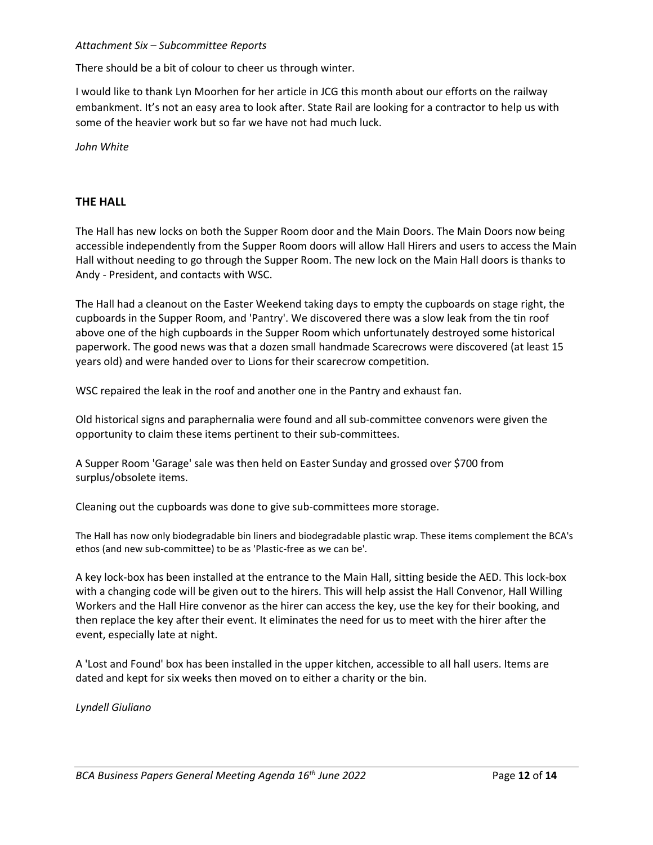### *Attachment Six – Subcommittee Reports*

There should be a bit of colour to cheer us through winter.

I would like to thank Lyn Moorhen for her article in JCG this month about our efforts on the railway embankment. It's not an easy area to look after. State Rail are looking for a contractor to help us with some of the heavier work but so far we have not had much luck.

*John White* 

### **THE HALL**

The Hall has new locks on both the Supper Room door and the Main Doors. The Main Doors now being accessible independently from the Supper Room doors will allow Hall Hirers and users to access the Main Hall without needing to go through the Supper Room. The new lock on the Main Hall doors is thanks to Andy - President, and contacts with WSC.

The Hall had a cleanout on the Easter Weekend taking days to empty the cupboards on stage right, the cupboards in the Supper Room, and 'Pantry'. We discovered there was a slow leak from the tin roof above one of the high cupboards in the Supper Room which unfortunately destroyed some historical paperwork. The good news was that a dozen small handmade Scarecrows were discovered (at least 15 years old) and were handed over to Lions for their scarecrow competition.

WSC repaired the leak in the roof and another one in the Pantry and exhaust fan.

Old historical signs and paraphernalia were found and all sub-committee convenors were given the opportunity to claim these items pertinent to their sub-committees.

A Supper Room 'Garage' sale was then held on Easter Sunday and grossed over \$700 from surplus/obsolete items.

Cleaning out the cupboards was done to give sub-committees more storage.

The Hall has now only biodegradable bin liners and biodegradable plastic wrap. These items complement the BCA's ethos (and new sub-committee) to be as 'Plastic-free as we can be'.

A key lock-box has been installed at the entrance to the Main Hall, sitting beside the AED. This lock-box with a changing code will be given out to the hirers. This will help assist the Hall Convenor, Hall Willing Workers and the Hall Hire convenor as the hirer can access the key, use the key for their booking, and then replace the key after their event. It eliminates the need for us to meet with the hirer after the event, especially late at night.

A 'Lost and Found' box has been installed in the upper kitchen, accessible to all hall users. Items are dated and kept for six weeks then moved on to either a charity or the bin.

*Lyndell Giuliano*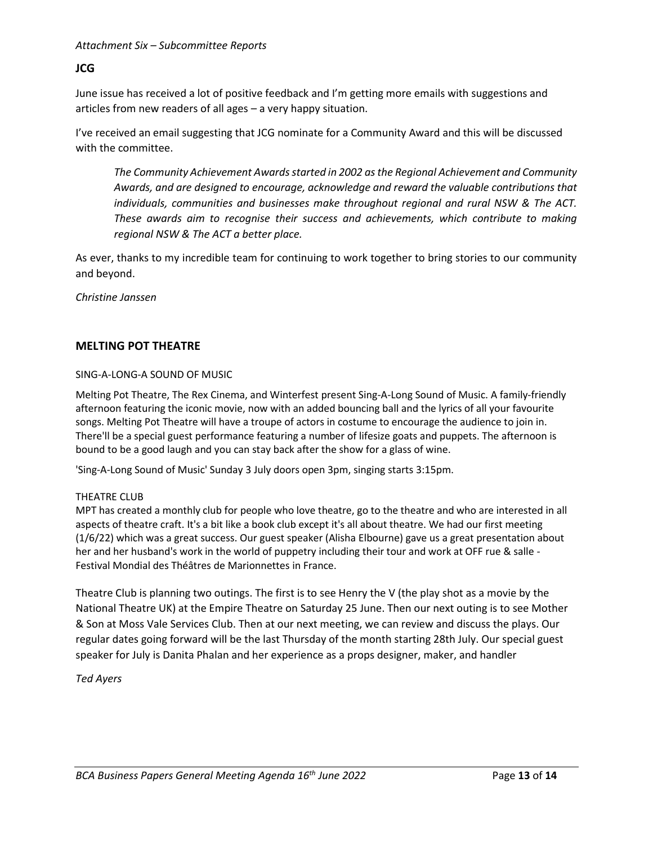### *Attachment Six – Subcommittee Reports*

### **JCG**

June issue has received a lot of positive feedback and I'm getting more emails with suggestions and articles from new readers of all ages – a very happy situation.

I've received an email suggesting that JCG nominate for a Community Award and this will be discussed with the committee.

*The Community Achievement Awards started in 2002 as the Regional Achievement and Community Awards, and are designed to encourage, acknowledge and reward the valuable contributions that individuals, communities and businesses make throughout regional and rural NSW & The ACT. These awards aim to recognise their success and achievements, which contribute to making regional NSW & The ACT a better place.*

As ever, thanks to my incredible team for continuing to work together to bring stories to our community and beyond.

*Christine Janssen*

### **MELTING POT THEATRE**

### SING-A-LONG-A SOUND OF MUSIC

Melting Pot Theatre, The Rex Cinema, and Winterfest present Sing-A-Long Sound of Music. A family-friendly afternoon featuring the iconic movie, now with an added bouncing ball and the lyrics of all your favourite songs. Melting Pot Theatre will have a troupe of actors in costume to encourage the audience to join in. There'll be a special guest performance featuring a number of lifesize goats and puppets. The afternoon is bound to be a good laugh and you can stay back after the show for a glass of wine.

'Sing-A-Long Sound of Music' Sunday 3 July doors open 3pm, singing starts 3:15pm.

### THEATRE CLUB

MPT has created a monthly club for people who love theatre, go to the theatre and who are interested in all aspects of theatre craft. It's a bit like a book club except it's all about theatre. We had our first meeting (1/6/22) which was a great success. Our guest speaker (Alisha Elbourne) gave us a great presentation about her and her husband's work in the world of puppetry including their tour and work at OFF rue & salle - Festival Mondial des Théâtres de Marionnettes in France.

Theatre Club is planning two outings. The first is to see Henry the V (the play shot as a movie by the National Theatre UK) at the Empire Theatre on Saturday 25 June. Then our next outing is to see Mother & Son at Moss Vale Services Club. Then at our next meeting, we can review and discuss the plays. Our regular dates going forward will be the last Thursday of the month starting 28th July. Our special guest speaker for July is Danita Phalan and her experience as a props designer, maker, and handler

### *Ted Ayers*